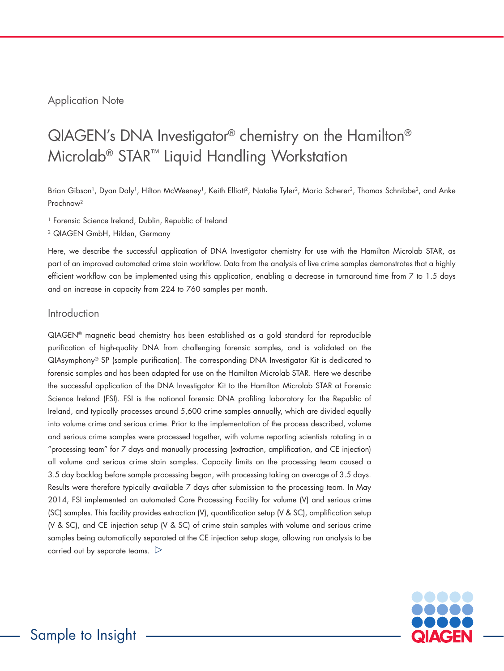# Application Note

# QIAGEN's DNA Investigator® chemistry on the Hamilton® Microlab® STAR™ Liquid Handling Workstation

Brian Gibson<sup>1</sup>, Dyan Daly<sup>1</sup>, Hilton McWeeney<sup>1</sup>, Keith Elliott<sup>2</sup>, Natalie Tyler<sup>2</sup>, Mario Scherer<sup>2</sup>, Thomas Schnibbe<sup>2</sup>, and Anke Prochnow2

<sup>1</sup> Forensic Science Ireland, Dublin, Republic of Ireland

2 QIAGEN GmbH, Hilden, Germany

Here, we describe the successful application of DNA Investigator chemistry for use with the Hamilton Microlab STAR, as part of an improved automated crime stain workflow. Data from the analysis of live crime samples demonstrates that a highly efficient workflow can be implemented using this application, enabling a decrease in turnaround time from 7 to 1.5 days and an increase in capacity from 224 to 760 samples per month.

### Introduction

QIAGEN® magnetic bead chemistry has been established as a gold standard for reproducible purification of high-quality DNA from challenging forensic samples, and is validated on the QIAsymphony® SP (sample purification). The corresponding DNA Investigator Kit is dedicated to forensic samples and has been adapted for use on the Hamilton Microlab STAR. Here we describe the successful application of the DNA Investigator Kit to the Hamilton Microlab STAR at Forensic Science Ireland (FSI). FSI is the national forensic DNA profiling laboratory for the Republic of Ireland, and typically processes around 5,600 crime samples annually, which are divided equally into volume crime and serious crime. Prior to the implementation of the process described, volume and serious crime samples were processed together, with volume reporting scientists rotating in a "processing team" for 7 days and manually processing (extraction, amplification, and CE injection) all volume and serious crime stain samples. Capacity limits on the processing team caused a 3.5 day backlog before sample processing began, with processing taking an average of 3.5 days. Results were therefore typically available 7 days after submission to the processing team. In May 2014, FSI implemented an automated Core Processing Facility for volume (V) and serious crime (SC) samples. This facility provides extraction (V), quantification setup (V & SC), amplification setup (V & SC), and CE injection setup (V & SC) of crime stain samples with volume and serious crime samples being automatically separated at the CE injection setup stage, allowing run analysis to be carried out by separate teams.  $\triangleright$ 

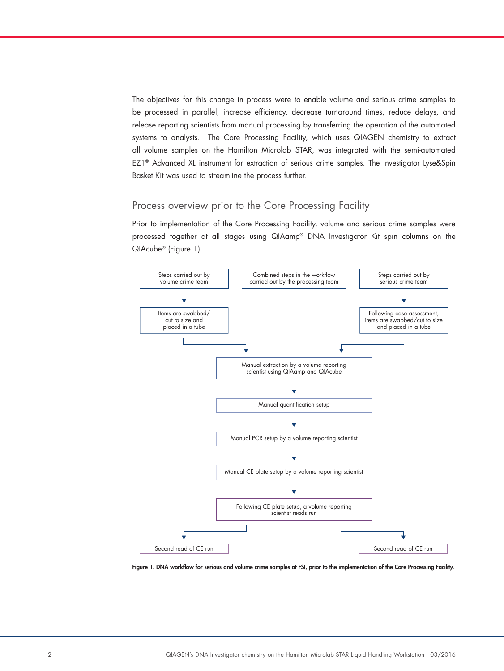The objectives for this change in process were to enable volume and serious crime samples to be processed in parallel, increase efficiency, decrease turnaround times, reduce delays, and release reporting scientists from manual processing by transferring the operation of the automated systems to analysts. The Core Processing Facility, which uses QIAGEN chemistry to extract all volume samples on the Hamilton Microlab STAR, was integrated with the semi-automated EZ1® Advanced XL instrument for extraction of serious crime samples. The Investigator Lyse&Spin Basket Kit was used to streamline the process further.

# Process overview prior to the Core Processing Facility

Prior to implementation of the Core Processing Facility, volume and serious crime samples were processed together at all stages using QIAamp® DNA Investigator Kit spin columns on the QIAcube® (Figure 1).



Figure 1. DNA workflow for serious and volume crime samples at FSI, prior to the implementation of the Core Processing Facility.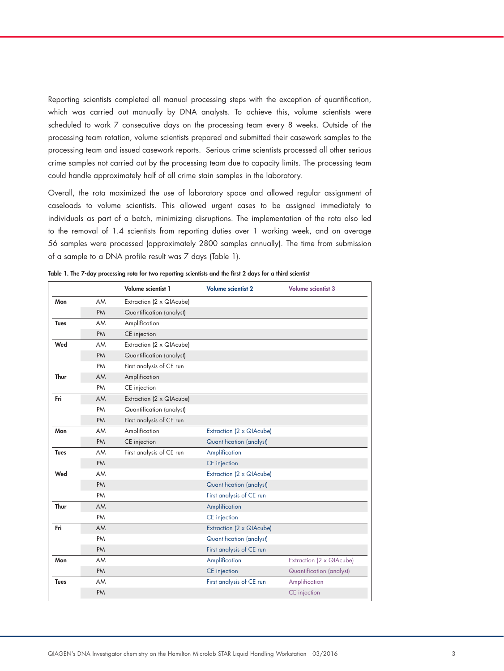Reporting scientists completed all manual processing steps with the exception of quantification, which was carried out manually by DNA analysts. To achieve this, volume scientists were scheduled to work 7 consecutive days on the processing team every 8 weeks. Outside of the processing team rotation, volume scientists prepared and submitted their casework samples to the processing team and issued casework reports. Serious crime scientists processed all other serious crime samples not carried out by the processing team due to capacity limits. The processing team could handle approximately half of all crime stain samples in the laboratory.

Overall, the rota maximized the use of laboratory space and allowed regular assignment of caseloads to volume scientists. This allowed urgent cases to be assigned immediately to individuals as part of a batch, minimizing disruptions. The implementation of the rota also led to the removal of 1.4 scientists from reporting duties over 1 working week, and on average 56 samples were processed (approximately 2800 samples annually). The time from submission of a sample to a DNA profile result was 7 days (Table 1).

|             |           | Volume scientist 1       | <b>Volume scientist 2</b>       | <b>Volume scientist 3</b>       |
|-------------|-----------|--------------------------|---------------------------------|---------------------------------|
| Mon         | AM        | Extraction (2 x QIAcube) |                                 |                                 |
|             | PM        | Quantification (analyst) |                                 |                                 |
| <b>Tues</b> | AM        | Amplification            |                                 |                                 |
|             | <b>PM</b> | CE injection             |                                 |                                 |
| Wed         | AM        | Extraction (2 x QIAcube) |                                 |                                 |
|             | <b>PM</b> | Quantification (analyst) |                                 |                                 |
|             | PM        | First analysis of CE run |                                 |                                 |
| Thur        | <b>AM</b> | Amplification            |                                 |                                 |
|             | PM        | CE injection             |                                 |                                 |
| Fri         | AM        | Extraction (2 x QIAcube) |                                 |                                 |
|             | PM        | Quantification (analyst) |                                 |                                 |
|             | <b>PM</b> | First analysis of CE run |                                 |                                 |
| Mon         | AM        | Amplification            | Extraction (2 x QIAcube)        |                                 |
|             | <b>PM</b> | CE injection             | <b>Quantification (analyst)</b> |                                 |
| <b>Tues</b> | AM        | First analysis of CE run | Amplification                   |                                 |
|             | PM        |                          | CE injection                    |                                 |
| Wed         | AM        |                          | Extraction (2 x QIAcube)        |                                 |
|             | <b>PM</b> |                          | <b>Quantification (analyst)</b> |                                 |
|             | PM        |                          | First analysis of CE run        |                                 |
| Thur        | AM        |                          | Amplification                   |                                 |
|             | PM        |                          | CE injection                    |                                 |
| Fri         | AM        |                          | Extraction (2 x QIAcube)        |                                 |
|             | PM        |                          | Quantification (analyst)        |                                 |
|             | PM        |                          | First analysis of CE run        |                                 |
| Mon         | AM        |                          | Amplification                   | Extraction (2 x QIAcube)        |
|             | <b>PM</b> |                          | CE injection                    | <b>Quantification (analyst)</b> |
| <b>Tues</b> | AM        |                          | First analysis of CE run        | Amplification                   |
|             |           |                          |                                 |                                 |

Table 1. The 7-day processing rota for two reporting scientists and the first 2 days for a third scientist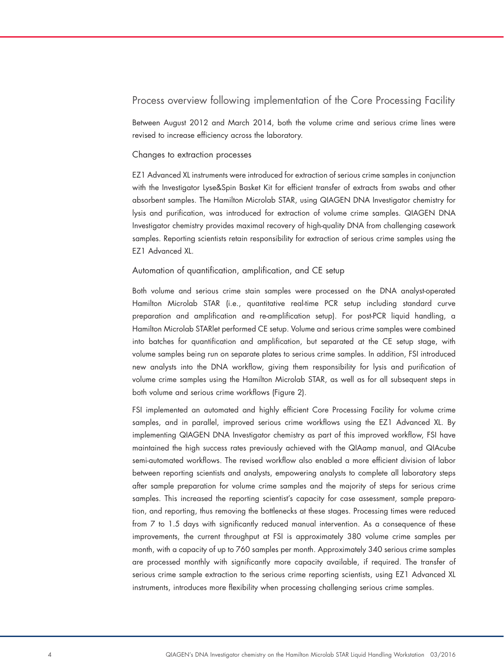## Process overview following implementation of the Core Processing Facility

Between August 2012 and March 2014, both the volume crime and serious crime lines were revised to increase efficiency across the laboratory.

#### Changes to extraction processes

EZ1 Advanced XL instruments were introduced for extraction of serious crime samples in conjunction with the Investigator Lyse&Spin Basket Kit for efficient transfer of extracts from swabs and other absorbent samples. The Hamilton Microlab STAR, using QIAGEN DNA Investigator chemistry for lysis and purification, was introduced for extraction of volume crime samples. QIAGEN DNA Investigator chemistry provides maximal recovery of high-quality DNA from challenging casework samples. Reporting scientists retain responsibility for extraction of serious crime samples using the EZ1 Advanced XL.

#### Automation of quantification, amplification, and CE setup

Both volume and serious crime stain samples were processed on the DNA analyst-operated Hamilton Microlab STAR (i.e., quantitative real-time PCR setup including standard curve preparation and amplification and re-amplification setup). For post-PCR liquid handling, a Hamilton Microlab STARlet performed CE setup. Volume and serious crime samples were combined into batches for quantification and amplification, but separated at the CE setup stage, with volume samples being run on separate plates to serious crime samples. In addition, FSI introduced new analysts into the DNA workflow, giving them responsibility for lysis and purification of volume crime samples using the Hamilton Microlab STAR, as well as for all subsequent steps in both volume and serious crime workflows (Figure 2).

FSI implemented an automated and highly efficient Core Processing Facility for volume crime samples, and in parallel, improved serious crime workflows using the EZ1 Advanced XL. By implementing QIAGEN DNA Investigator chemistry as part of this improved workflow, FSI have maintained the high success rates previously achieved with the QIAamp manual, and QIAcube semi-automated workflows. The revised workflow also enabled a more efficient division of labor between reporting scientists and analysts, empowering analysts to complete all laboratory steps after sample preparation for volume crime samples and the majority of steps for serious crime samples. This increased the reporting scientist's capacity for case assessment, sample preparation, and reporting, thus removing the bottlenecks at these stages. Processing times were reduced from 7 to 1.5 days with significantly reduced manual intervention. As a consequence of these improvements, the current throughput at FSI is approximately 380 volume crime samples per month, with a capacity of up to 760 samples per month. Approximately 340 serious crime samples are processed monthly with significantly more capacity available, if required. The transfer of serious crime sample extraction to the serious crime reporting scientists, using EZ1 Advanced XL instruments, introduces more flexibility when processing challenging serious crime samples.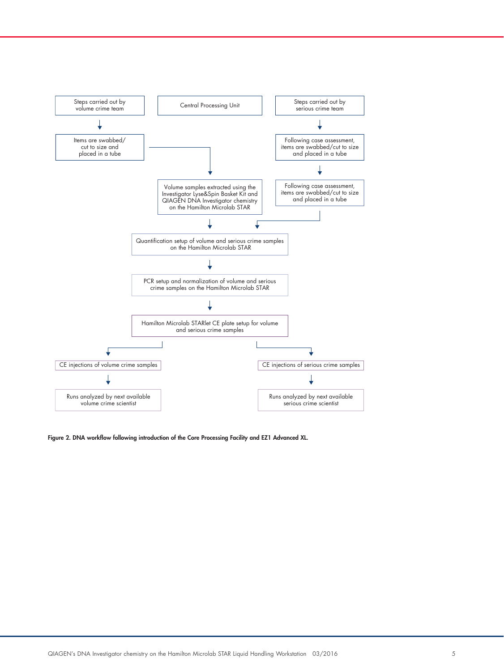

Figure 2. DNA workflow following introduction of the Core Processing Facility and EZ1 Advanced XL.